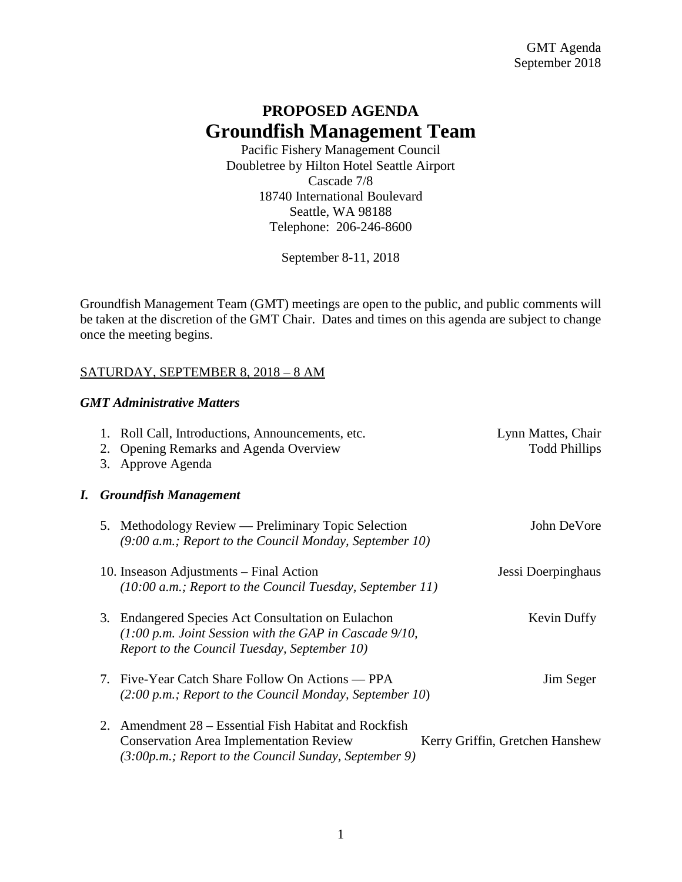# **PROPOSED AGENDA Groundfish Management Team**

Pacific Fishery Management Council Doubletree by Hilton Hotel Seattle Airport Cascade 7/8 18740 International Boulevard Seattle, WA 98188 Telephone: 206-246-8600

September 8-11, 2018

Groundfish Management Team (GMT) meetings are open to the public, and public comments will be taken at the discretion of the GMT Chair. Dates and times on this agenda are subject to change once the meeting begins.

## SATURDAY, SEPTEMBER 8, 2018 – 8 AM

## *GMT Administrative Matters*

|    | 2. | 1. Roll Call, Introductions, Announcements, etc.<br>Opening Remarks and Agenda Overview<br>3. Approve Agenda                                                      | Lynn Mattes, Chair<br><b>Todd Phillips</b> |
|----|----|-------------------------------------------------------------------------------------------------------------------------------------------------------------------|--------------------------------------------|
| I. |    | <b>Groundfish Management</b>                                                                                                                                      |                                            |
|    | 5. | Methodology Review — Preliminary Topic Selection<br>(9:00 a.m.; Report to the Council Monday, September 10)                                                       | John DeVore                                |
|    |    | 10. Inseason Adjustments – Final Action<br>$(10:00 a.m.;$ Report to the Council Tuesday, September 11)                                                            | Jessi Doerpinghaus                         |
|    |    | 3. Endangered Species Act Consultation on Eulachon<br>$(1:00 p.m.$ Joint Session with the GAP in Cascade $9/10$ ,<br>Report to the Council Tuesday, September 10) | Kevin Duffy                                |
|    |    | 7. Five-Year Catch Share Follow On Actions — PPA<br>$(2:00 p.m.$ ; Report to the Council Monday, September 10)                                                    | Jim Seger                                  |
|    | 2. | Amendment 28 – Essential Fish Habitat and Rockfish<br><b>Conservation Area Implementation Review</b><br>$(3:00p.m.;$ Report to the Council Sunday, September 9)   | Kerry Griffin, Gretchen Hanshew            |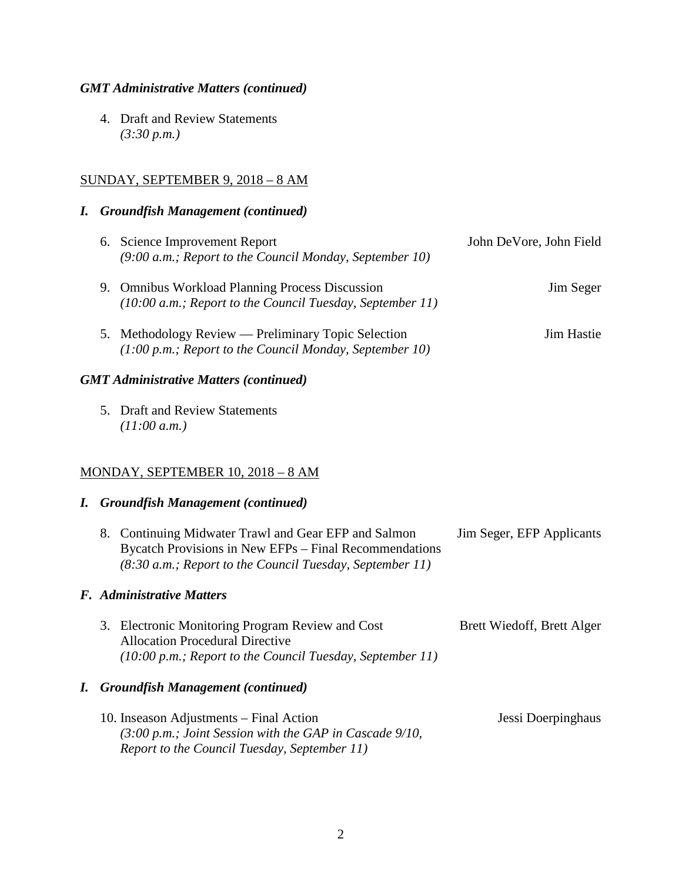## *GMT Administrative Matters (continued)*

4. Draft and Review Statements *(3:30 p.m.)*

## SUNDAY, SEPTEMBER 9, 2018 – 8 AM

#### *I. Groundfish Management (continued)*

| 6. Science Improvement Report<br>$(9:00 a.m.$ ; Report to the Council Monday, September 10)                      | John DeVore, John Field |
|------------------------------------------------------------------------------------------------------------------|-------------------------|
| 9. Omnibus Workload Planning Process Discussion<br>$(10:00 a.m.;$ Report to the Council Tuesday, September 11)   | Jim Seger               |
| 5. Methodology Review — Preliminary Topic Selection<br>$(1:00 p.m.; Report to the Council Monday, September 10)$ | Jim Hastie              |

## *GMT Administrative Matters (continued)*

5. Draft and Review Statements *(11:00 a.m.)*

## MONDAY, SEPTEMBER 10, 2018 – 8 AM

## *I. Groundfish Management (continued)*

| 8. Continuing Midwater Trawl and Gear EFP and Salmon       | Jim Seger, EFP Applicants |
|------------------------------------------------------------|---------------------------|
| Bycatch Provisions in New EFPs – Final Recommendations     |                           |
| $(8:30 a.m.;$ Report to the Council Tuesday, September 11) |                           |

# *F. Administrative Matters*

| 3. Electronic Monitoring Program Review and Cost                    | Brett Wiedoff, Brett Alger |
|---------------------------------------------------------------------|----------------------------|
| <b>Allocation Procedural Directive</b>                              |                            |
| $(10:00 \text{ p.m.};$ Report to the Council Tuesday, September 11) |                            |

#### *I. Groundfish Management (continued)*

10. Inseason Adjustments – Final Action Jessi Doerpinghaus *(3:00 p.m.; Joint Session with the GAP in Cascade 9/10, Report to the Council Tuesday, September 11)*